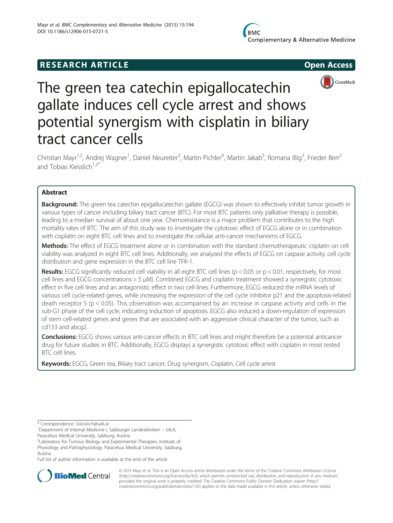# **RESEARCH ARTICLE Example 2014 12:30 The SEAR CHA RESEARCH ARTICLE**



# The green tea catechin epigallocatechin gallate induces cell cycle arrest and shows potential synergism with cisplatin in biliary tract cancer cells

Christian Mayr<sup>1,2</sup>, Andrej Wagner<sup>1</sup>, Daniel Neureiter<sup>3</sup>, Martin Pichler<sup>4</sup>, Martin Jakab<sup>5</sup>, Romana Illig<sup>3</sup>, Frieder Berr<sup>2</sup> and Tobias Kiesslich $1,2^*$ 

# Abstract

Background: The green tea catechin epigallocatechin gallate (EGCG) was shown to effectively inhibit tumor growth in various types of cancer including biliary tract cancer (BTC). For most BTC patients only palliative therapy is possible, leading to a median survival of about one year. Chemoresistance is a major problem that contributes to the high mortality rates of BTC. The aim of this study was to investigate the cytotoxic effect of EGCG alone or in combination with cisplatin on eight BTC cell lines and to investigate the cellular anti-cancer mechanisms of EGCG.

Methods: The effect of EGCG treatment alone or in combination with the standard chemotherapeutic cisplatin on cell viability was analyzed in eight BTC cell lines. Additionally, we analyzed the effects of EGCG on caspase activity, cell cycle distribution and gene expression in the BTC cell line TFK-1.

Results: EGCG significantly reduced cell viability in all eight BTC cell lines ( $p < 0.05$  or  $p < 0.01$ , respectively, for most cell lines and EGCG concentrations > 5 μM). Combined EGCG and cisplatin treatment showed a synergistic cytotoxic effect in five cell lines and an antagonistic effect in two cell lines. Furthermore, EGCG reduced the mRNA levels of various cell cycle-related genes, while increasing the expression of the cell cycle inhibitor p21 and the apoptosis-related death receptor 5 (p < 0.05). This observation was accompanied by an increase in caspase activity and cells in the sub-G1 phase of the cell cycle, indicating induction of apoptosis. EGCG also induced a down-regulation of expression of stem cell-related genes and genes that are associated with an aggressive clinical character of the tumor, such as cd133 and abcg2.

Conclusions: EGCG shows various anti-cancer effects in BTC cell lines and might therefore be a potential anticancer drug for future studies in BTC. Additionally, EGCG displays a synergistic cytotoxic effect with cisplatin in most tested BTC cell lines.

Keywords: EGCG, Green tea, Biliary tract cancer, Drug synergism, Cisplatin, Cell cycle arrest

\* Correspondence: [t.kiesslich@salk.at](mailto:t.kiesslich@salk.at) <sup>1</sup>

<sup>1</sup>Department of Internal Medicine I, Salzburger Landeskliniken – SALK,

Paracelsus Medical University, Salzburg, Austria

<sup>2</sup> Laboratory for Tumour Biology and Experimental Therapies, Institute of Physiology and Pathophysiology, Paracelsus Medical University, Salzburg, Austria

Full list of author information is available at the end of the article



© 2015 Mayr et al. This is an Open Access article distributed under the terms of the Creative Commons Attribution License [\(http://creativecommons.org/licenses/by/4.0\)](http://creativecommons.org/licenses/by/4.0), which permits unrestricted use, distribution, and reproduction in any medium, provided the original work is properly credited. The Creative Commons Public Domain Dedication waiver [\(http://](http://creativecommons.org/publicdomain/zero/1.0/) [creativecommons.org/publicdomain/zero/1.0/\)](http://creativecommons.org/publicdomain/zero/1.0/) applies to the data made available in this article, unless otherwise stated.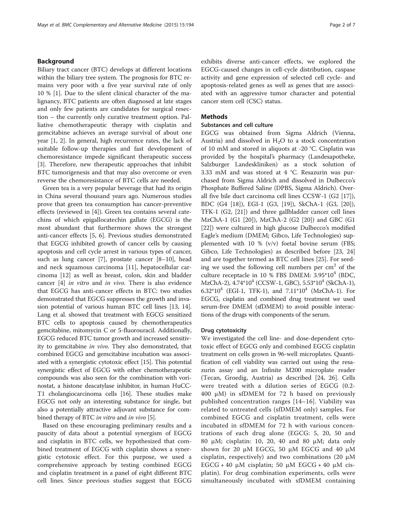# Background

Biliary tract cancer (BTC) develops at different locations within the biliary tree system. The prognosis for BTC remains very poor with a five year survival rate of only 10 % [[1\]](#page-5-0). Due to the silent clinical character of the malignancy, BTC patients are often diagnosed at late stages and only few patients are candidates for surgical resection – the currently only curative treatment option. Palliative chemotherapeutic therapy with cisplatin and gemcitabine achieves an average survival of about one year [\[1](#page-5-0), [2\]](#page-5-0). In general, high recurrence rates, the lack of suitable follow-up therapies and fast development of chemoresistance impede significant therapeutic success [[3\]](#page-5-0). Therefore, new therapeutic approaches that inhibit BTC tumorigenesis and that may also overcome or even reverse the chemoresistance of BTC cells are needed.

Green tea is a very popular beverage that had its origin in China several thousand years ago. Numerous studies prove that green tea consumption has cancer-preventive effects (reviewed in [\[4](#page-5-0)]). Green tea contains several catechins of which epigallocatechin gallate (EGCG) is the most abundant that furthermore shows the strongest anti-cancer effects [\[5](#page-5-0), [6\]](#page-6-0). Previous studies demonstrated that EGCG inhibited growth of cancer cells by causing apoptosis and cell cycle arrest in various types of cancer, such as lung cancer [[7\]](#page-6-0), prostate cancer [\[8](#page-6-0)–[10\]](#page-6-0), head and neck squamous carcinoma [[11\]](#page-6-0), hepatocellular carcinoma [\[12](#page-6-0)] as well as breast, colon, skin and bladder cancer [\[4](#page-5-0)] in vitro and in vivo. There is also evidence that EGCG has anti-cancer effects in BTC: two studies demonstrated that EGCG suppresses the growth and invasion potential of various human BTC cell lines [[13, 14](#page-6-0)]. Lang et al. showed that treatment with EGCG sensitized BTC cells to apoptosis caused by chemotherapeutics gemcitabine, mitomycin C or 5-fluorouracil. Additionally, EGCG reduced BTC tumor growth and increased sensitivity to gemcitabine in vivo. They also demonstrated, that combined EGCG and gemcitabine incubation was associated with a synergistic cytotoxic effect [[15](#page-6-0)]. This potential synergistic effect of EGCG with other chemotherapeutic compounds was also seen for the combination with vorinostat, a histone deacatylase inhibitor, in human HuCC-T1 cholangiocarcinoma cells [[16](#page-6-0)]. These studies make EGCG not only an interesting substance for single, but also a potentially attractive adjuvant substance for combined therapy of BTC *in vitro* and *in vivo* [[5\]](#page-5-0).

Based on these encouraging preliminary results and a paucity of data about a potential synergism of EGCG and cisplatin in BTC cells, we hypothesized that combined treatment of EGCG with cisplatin shows a synergistic cytotoxic effect. For this purpose, we used a comprehensive approach by testing combined EGCG and cisplatin treatment in a panel of eight different BTC cell lines. Since previous studies suggest that EGCG exhibits diverse anti-cancer effects, we explored the EGCG-caused changes in cell-cycle distribution, caspase activity and gene expression of selected cell cycle- and apoptosis-related genes as well as genes that are associated with an aggressive tumor character and potential cancer stem cell (CSC) status.

# **Methods**

# Substances and cell culture

EGCG was obtained from Sigma Aldrich (Vienna, Austria) and dissolved in  $H_2O$  to a stock concentration of 10 mM and stored in aliquots at -20 °C. Cisplatin was provided by the hospital's pharmacy (Landesapotheke, Salzburger Landeskliniken) as a stock solution of 3.33 mM and was stored at 4 °C. Resazurin was purchased from Sigma Aldrich and dissolved in Dulbecco's Phosphate Buffered Saline (DPBS, Sigma Aldrich). Overall five bile duct carcinoma cell lines CCSW-1 (G2 [\[17](#page-6-0)]), BDC (G4 [\[18](#page-6-0)]), EGI-1 (G3, [[19\]](#page-6-0)), SkChA-1 (G3, [\[20](#page-6-0)]), TFK-1 (G2, [\[21](#page-6-0)]) and three gallbladder cancer cell lines MzChA-1 (G1 [[20](#page-6-0)]), MzChA-2 (G2 [[20](#page-6-0)]) and GBC (G1 [[22\]](#page-6-0)) were cultured in high glucose Dulbecco's modified Eagle's medium (DMEM; Gibco, Life Technologies) supplemented with 10 % (v/v) foetal bovine serum (FBS; Gibco, Life Technologies) as described before [[23, 24](#page-6-0)] and are together termed as BTC cell lines [\[25\]](#page-6-0). For seeding we used the following cell numbers per  $cm<sup>2</sup>$  of the culture receptacle in 10 % FBS DMEM:  $3.95*10^4$  (BDC, MzChA-2), 4.74\*10<sup>4</sup> (CCSW-1, GBC), 5.53\*10<sup>4</sup> (SkChA-1), 6.32 $*10^4$  (EGI-1, TFK-1), and  $7.11*10^4$  (MzChA-1). For EGCG, cisplatin and combined drug treatment we used serum-free DMEM (sfDMEM) to avoid possible interactions of the drugs with components of the serum.

#### Drug cytotoxicity

We investigated the cell line- and dose-dependent cytotoxic effect of EGCG only and combined EGCG cisplatin treatment on cells grown in 96-well microplates. Quantification of cell viability was carried out using the resazurin assay and an Infinite M200 microplate reader (Tecan, Groedig, Austria) as described [[24, 26\]](#page-6-0). Cells were treated with a dilution series of EGCG (0.2- 400 μM) in sfDMEM for 72 h based on previously published concentration ranges [\[14](#page-6-0)–[16\]](#page-6-0). Viability was related to untreated cells (sfDMEM only) samples. For combined EGCG and cisplatin treatment, cells were incubated in sfDMEM for 72 h with various concentrations of each drug alone (EGCG: 5, 20, 50 and 80 μM; cisplatin: 10, 20, 40 and 80 μM; data only shown for 20 μM EGCG, 50 μM EGCG and 40 μM cisplatin, respectively) and two combinations (20  $\mu$ M EGCG + 40 μM cisplatin; 50 μM EGCG + 40 μM cisplatin). For drug combination experiments, cells were simultaneously incubated with sfDMEM containing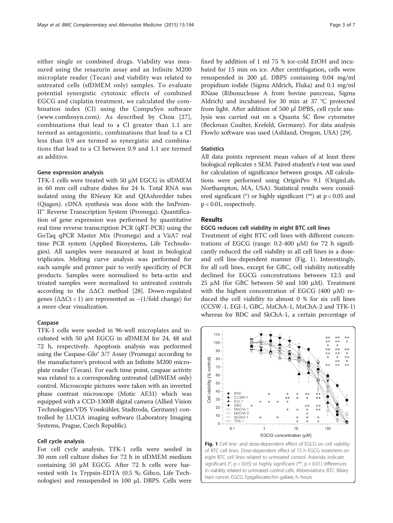<span id="page-2-0"></span>either single or combined drugs. Viability was measured using the resazurin assay and an Infinite M200 microplate reader (Tecan) and viability was related to untreated cells (sfDMEM only) samples. To evaluate potential synergistic cytotoxic effects of combined EGCG and cisplatin treatment, we calculated the combination index (CI) using the CompuSyn software ([www.combosyn.com](http://www.combosyn.com)). As described by Chou [[27](#page-6-0)], combinations that lead to a CI greater than 1.1 are termed as antagonistic, combinations that lead to a CI less than 0.9 are termed as synergistic and combinations that lead to a CI between 0.9 and 1.1 are termed as additive.

#### Gene expression analysis

TFK-1 cells were treated with 50 μM EGCG in sfDMEM in 60 mm cell culture dishes for 24 h. Total RNA was isolated using the RNeasy Kit and QIAshredder tubes (Qiagen). cDNA synthesis was done with the ImProm-II™ Reverse Transcription System (Promega). Quantification of gene expression was performed by quantitative real time reverse transcription PCR (qRT-PCR) using the GoTaq qPCR Master Mix (Promega) and a ViiA7 real time PCR system (Applied Biosystems, Life Technologies). All samples were measured at least in biological triplicates. Melting curve analysis was performed for each sample and primer pair to verify specificity of PCR products. Samples were normalized to beta-actin and treated samples were normalized to untreated controls according to the ΔΔCt method [[28\]](#page-6-0). Down-regulated genes ( $\Delta \Delta \text{C}t$  < 1) are represented as  $-(1/\text{fold change})$  for a more clear visualization.

# Caspase

TFK-1 cells were seeded in 96-well microplates and incubated with 50 μM EGCG in sfDMEM for 24, 48 and 72 h, respectively. Apoptosis analysis was performed using the Caspase-Glo® 3/7 Assay (Promega) according to the manufacturer's protocol with an Infinite M200 microplate reader (Tecan). For each time point, caspase activity was related to a corresponding untreated (sfDMEM only) control. Microscopic pictures were taken with an inverted phase contrast microscope (Motic AE31) which was equipped with a CCD-1300B digital camera (Allied Vision Technologies/VDS Vosskühler, Stadtroda, Germany) controlled by LUCIA imaging software (Laboratory Imaging Systems, Prague, Czech Republic).

# Cell cycle analysis

For cell cycle analysis, TFK-1 cells were seeded in 30 mm cell culture dishes for 72 h in sfDMEM medium containing 50 μM EGCG. After 72 h cells were harvested with 1x Trypsin-EDTA (0.5 %; Gibco, Life Technologies) and resuspended in 100 μL DBPS. Cells were

fixed by addition of 1 ml 75 % ice-cold EtOH and incubated for 15 min on ice. After centrifugation, cells were resuspended in 200 μL DBPS containing 0.04 mg/ml propidium iodide (Sigma Aldrich, Fluka) and 0.1 mg/ml RNase (Ribonuclease A from bovine pancreas, Sigma Aldrich) and incubated for 30 min at 37 °C protected from light. After addition of 500 μl DPBS, cell cycle analysis was carried out on a Quanta SC flow cytometer (Beckman Coulter, Krefeld, Germany). For data analysis FlowJo software was used (Ashland, Oregon, USA) [[29\]](#page-6-0).

# **Statistics**

All data points represent mean values of at least three biological replicates ± SEM. Paired student's t-test was used for calculation of significance between groups. All calculations were performed using OriginPro 9.1 (OriginLab, Northampton, MA, USA). Statistical results were considered significant (\*) or highly significant (\*\*) at  $p < 0.05$  and p < 0.01, respectively.

# Results

#### EGCG reduces cell viability in eight BTC cell lines

Treatment of eight BTC cell lines with different concentrations of EGCG (range: 0.2-400 μM) for 72 h significantly reduced the cell viability in all cell lines in a doseand cell line-dependent manner (Fig. 1). Interestingly, for all cell lines, except for GBC, cell viability noticeably declined for EGCG concentrations between 12.5 and 25 μM (for GBC between 50 and 100 μM). Treatment with the highest concentration of EGCG (400 μM) reduced the cell viability to almost 0 % for six cell lines (CCSW-1, EGI-1, GBC, MzChA-1, MzChA-2 and TFK-1) whereas for BDC and SkChA-1, a certain percentage of



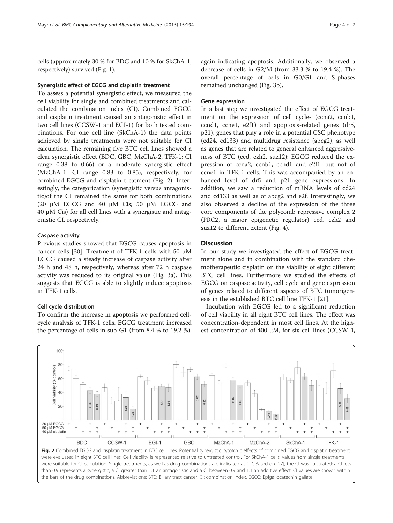cells (approximately 30 % for BDC and 10 % for SkChA-1, respectively) survived (Fig. [1\)](#page-2-0).

### Synergistic effect of EGCG and cisplatin treatment

To assess a potential synergistic effect, we measured the cell viability for single and combined treatments and calculated the combination index (CI). Combined EGCG and cisplatin treatment caused an antagonistic effect in two cell lines (CCSW-1 and EGI-1) for both tested combinations. For one cell line (SkChA-1) the data points achieved by single treatments were not suitable for CI calculation. The remaining five BTC cell lines showed a clear synergistic effect (BDC, GBC, MzChA-2, TFK-1; CI range 0.38 to 0.66) or a moderate synergistic effect (MzChA-1; CI range 0.83 to 0.85), respectively, for combined EGCG and cisplatin treatment (Fig. 2). Interestingly, the categorization (synergistic versus antagonistic)of the CI remained the same for both combinations (20 μM EGCG and 40 μM Cis; 50 μM EGCG and 40 μM Cis) for all cell lines with a synergistic and antagonistic CI, respectively.

# Caspase activity

Previous studies showed that EGCG causes apoptosis in cancer cells [[30\]](#page-6-0). Treatment of TFK-1 cells with 50 μM EGCG caused a steady increase of caspase activity after 24 h and 48 h, respectively, whereas after 72 h caspase activity was reduced to its original value (Fig. [3a](#page-4-0)). This suggests that EGCG is able to slightly induce apoptosis in TFK-1 cells.

# Cell cycle distribution

To confirm the increase in apoptosis we performed cellcycle analysis of TFK-1 cells. EGCG treatment increased the percentage of cells in sub-G1 (from 8.4 % to 19.2 %),

again indicating apoptosis. Additionally, we observed a decrease of cells in G2/M (from 33.3 % to 19.4 %). The overall percentage of cells in G0/G1 and S-phases remained unchanged (Fig. [3b](#page-4-0)).

#### Gene expression

In a last step we investigated the effect of EGCG treatment on the expression of cell cycle- (ccna2, ccnb1, ccnd1, ccne1, e2f1) and apoptosis-related genes (dr5, p21), genes that play a role in a potential CSC phenotype (cd24, cd133) and multidrug resistance (abcg2), as well as genes that are related to general enhanced aggressiveness of BTC (eed, ezh2, suz12): EGCG reduced the expression of ccna2, ccnb1, ccnd1 and e2f1, but not of ccne1 in TFK-1 cells. This was accompanied by an enhanced level of dr5 and p21 gene expressions. In addition, we saw a reduction of mRNA levels of cd24 and cd133 as well as of abcg2 and e2f. Interestingly, we also observed a decline of the expression of the three core components of the polycomb repressive complex 2 (PRC2, a major epigenetic regulator) eed, ezh2 and suz12 to different extent (Fig. [4](#page-4-0)).

#### **Discussion**

In our study we investigated the effect of EGCG treatment alone and in combination with the standard chemotherapeutic cisplatin on the viability of eight different BTC cell lines. Furthermore we studied the effects of EGCG on caspase activity, cell cycle and gene expression of genes related to different aspects of BTC tumorigenesis in the established BTC cell line TFK-1 [[21\]](#page-6-0).

Incubation with EGCG led to a significant reduction of cell viability in all eight BTC cell lines. The effect was concentration-dependent in most cell lines. At the highest concentration of 400 μM, for six cell lines (CCSW-1,



were evaluated in eight BTC cell lines. Cell viability is represented relative to untreated control. For SkChA-1 cells, values from single treatments were suitable for CI calculation. Single treatments, as well as drug combinations are indicated as "+". Based on [\[27](#page-6-0)], the CI was calculated: a CI less than 0.9 represents a synergistic, a CI greater than 1.1 an antagonistic and a CI between 0.9 and 1.1 an additive effect. CI values are shown within the bars of the drug combinations. Abbreviations: BTC: Biliary tract cancer, CI: combination index, EGCG: Epigallocatechin gallate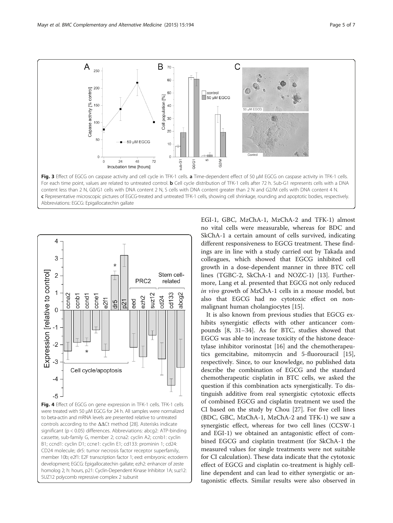<span id="page-4-0"></span>



Fig. 4 Effect of EGCG on gene expression in TFK-1 cells. TFK-1 cells were treated with 50 μM EGCG for 24 h. All samples were normalized to beta-actin and mRNA levels are presented relative to untreated controls according to the ΔΔCt method [[28\]](#page-6-0). Asterisks indicate significant (p < 0.05) differences. Abbreviations: abcg2: ATP-binding cassette, sub-family G, member 2; ccna2: cyclin A2; ccnb1: cyclin B1; ccnd1: cyclin D1; ccne1: cyclin E1; cd133: prominin 1; cd24: CD24 molecule; dr5: tumor necrosis factor receptor superfamily, member 10b; e2f1: E2F transcription factor 1; eed: embryonic ectoderm development; EGCG: Epigallocatechin gallate; ezh2: enhancer of zeste homolog 2; h: hours, p21: Cyclin-Dependent Kinase Inhibitor 1A; suz12: SUZ12 polycomb repressive complex 2 subunit

EGI-1, GBC, MzChA-1, MzChA-2 and TFK-1) almost no vital cells were measurable, whereas for BDC and SkChA-1 a certain amount of cells survived, indicating different responsiveness to EGCG treatment. These findings are in line with a study carried out by Takada and colleagues, which showed that EGCG inhibited cell growth in a dose-dependent manner in three BTC cell lines (TGBC-2, SkChA-1 and NOZC-1) [\[13](#page-6-0)]. Furthermore, Lang et al. presented that EGCG not only reduced in vivo growth of MzChA-1 cells in a mouse model, but also that EGCG had no cytotoxic effect on nonmalignant human cholangiocytes [[15\]](#page-6-0).

It is also known from previous studies that EGCG exhibits synergistic effects with other anticancer compounds [\[8](#page-6-0), [31](#page-6-0)–[34\]](#page-6-0). As for BTC, studies showed that EGCG was able to increase toxicity of the histone deacetylase inhibitor vorinostat [\[16\]](#page-6-0) and the chemotherapeutics gemcitabine, mitomycin and 5-fluorouracil [\[15](#page-6-0)], respectively. Since, to our knowledge, no published data describe the combination of EGCG and the standard chemotherapeutic cisplatin in BTC cells, we asked the question if this combination acts synergistically. To distinguish additive from real synergistic cytotoxic effects of combined EGCG and cisplatin treatment we used the CI based on the study by Chou [\[27](#page-6-0)]. For five cell lines (BDC, GBC, MzChA-1, MzChA-2 and TFK-1) we saw a synergistic effect, whereas for two cell lines (CCSW-1 and EGI-1) we obtained an antagonistic effect of combined EGCG and cisplatin treatment (for SkChA-1 the measured values for single treatments were not suitable for CI calculation). These data indicate that the cytotoxic effect of EGCG and cisplatin co-treatment is highly cellline dependent and can lead to either synergistic or antagonistic effects. Similar results were also observed in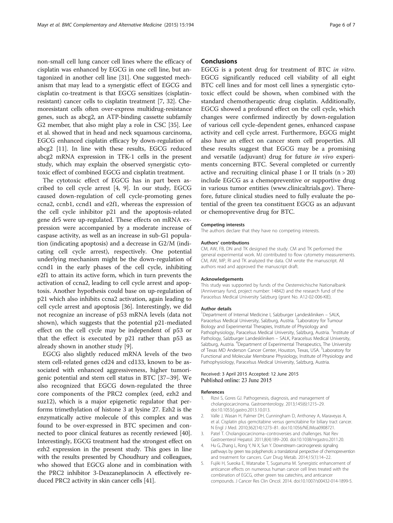<span id="page-5-0"></span>non-small cell lung cancer cell lines where the efficacy of cisplatin was enhanced by EGCG in one cell line, but antagonized in another cell line [\[31\]](#page-6-0). One suggested mechanism that may lead to a synergistic effect of EGCG and cisplatin co-treatment is that EGCG sensitizes (cisplatinresistant) cancer cells to cisplatin treatment [\[7, 32](#page-6-0)]. Chemoresistant cells often over-express multidrug-resistance genes, such as abcg2, an ATP-binding cassette subfamily G2 member, that also might play a role in CSC [\[35\]](#page-6-0). Lee et al. showed that in head and neck squamous carcinoma, EGCG enhanced cisplatin efficacy by down-regulation of abcg2 [\[11](#page-6-0)]. In line with these results, EGCG reduced abcg2 mRNA expression in TFK-1 cells in the present study, which may explain the observed synergistic cytotoxic effect of combined EGCG and cisplatin treatment.

The cytotoxic effect of EGCG has in part been ascribed to cell cycle arrest [4, [9\]](#page-6-0). In our study, EGCG caused down-regulation of cell cycle-promoting genes ccna2, ccnb1, ccnd1 and e2f1, whereas the expression of the cell cycle inhibitor p21 and the apoptosis-related gene dr5 were up-regulated. These effects on mRNA expression were accompanied by a moderate increase of caspase activity, as well as an increase in sub-G1 population (indicating apoptosis) and a decrease in G2/M (indicating cell cycle arrest), respectively. One potential underlying mechanism might be the down-regulation of ccnd1 in the early phases of the cell cycle, inhibiting e2f1 to attain its active form, which in turn prevents the activation of ccna2, leading to cell cycle arrest and apoptosis. Another hypothesis could base on up-regulation of p21 which also inhibits ccna2 activation, again leading to cell cycle arrest and apoptosis [[36\]](#page-6-0). Interestingly, we did not recognize an increase of p53 mRNA levels (data not shown), which suggests that the potential p21-mediated effect on the cell cycle may be independent of p53 or that the effect is executed by p21 rather than p53 as already shown in another study [\[9](#page-6-0)].

EGCG also slightly reduced mRNA levels of the two stem cell-related genes cd24 and cd133, known to be associated with enhanced aggressiveness, higher tumorigenic potential and stem cell status in BTC [\[37](#page-6-0)–[39\]](#page-6-0). We also recognized that EGCG down-regulated the three core components of the PRC2 complex (eed, ezh2 and suz12), which is a major epigenetic regulator that performs trimethylation of histone 3 at lysine 27. Ezh2 is the enzymatically active molecule of this complex and was found to be over-expressed in BTC specimen and connected to poor clinical features as recently reviewed [[40](#page-6-0)]. Interestingly, EGCG treatment had the strongest effect on ezh2 expression in the present study. This goes in line with the results presented by Choudhury and colleagues, who showed that EGCG alone and in combination with the PRC2 inhibitor 3-Deazaneplanocin A effectively reduced PRC2 activity in skin cancer cells [\[41\]](#page-6-0).

#### Conclusions

EGCG is a potent drug for treatment of BTC in vitro. EGCG significantly reduced cell viability of all eight BTC cell lines and for most cell lines a synergistic cytotoxic effect could be shown, when combined with the standard chemotherapeutic drug cisplatin. Additionally, EGCG showed a profound effect on the cell cycle, which changes were confirmed indirectly by down-regulation of various cell cycle-dependent genes, enhanced caspase activity and cell cycle arrest. Furthermore, EGCG might also have an effect on cancer stem cell properties. All these results suggest that EGCG may be a promising and versatile (adjuvant) drug for future in vivo experiments concerning BTC. Several completed or currently active and recruiting clinical phase I or II trials  $(n > 20)$ include EGCG as a chemopreventive or supportive drug in various tumor entities ([www.clinicaltrials.gov\)](http://www.clinicaltrials.gov). Therefore, future clinical studies need to fully evaluate the potential of the green tea constituent EGCG as an adjuvant or chemopreventive drug for BTC.

#### Competing interests

The authors declare that they have no competing interests.

#### Authors' contributions

CM, AW, FB, DN and TK designed the study. CM and TK performed the general experimental work. MJ contributed to flow cytometry measurements. CM, AW, MP, RI and TK analyzed the data. CM wrote the manuscript. All authors read and approved the manuscript draft.

#### Acknowledgements

This study was supported by funds of the Oesterreichische Nationalbank (Anniversary fund, project number: 14842) and the research fund of the Paracelsus Medical University Salzburg (grant No. A12-02-006-KIE).

#### Author details

<sup>1</sup>Department of Internal Medicine I, Salzburger Landeskliniken - SALK Paracelsus Medical University, Salzburg, Austria. <sup>2</sup> Laboratory for Tumour Biology and Experimental Therapies, Institute of Physiology and Pathophysiology, Paracelsus Medical University, Salzburg, Austria. <sup>3</sup>Institute of Pathology, Salzburger Landeskliniken – SALK, Paracelsus Medical University, Salzburg, Austria. <sup>4</sup>Department of Experimental Therapeutics, The University of Texas MD Anderson Cancer Center, Houston, Texas, USA. <sup>5</sup>Laboratory for Functional and Molecular Membrane Physiology, Institute of Physiology and Pathophysiology, Paracelsus Medical University, Salzburg, Austria.

#### Received: 3 April 2015 Accepted: 12 June 2015 Published online: 23 June 2015

#### References

- 1. Rizvi S, Gores GJ. Pathogenesis, diagnosis, and management of cholangiocarcinoma. Gastroenterology. 2013;145(6):1215–29. doi[:10.1053/j.gastro.2013.10.013.](http://dx.doi.org/10.1053/j.gastro.2013.10.013)
- 2. Valle J, Wasan H, Palmer DH, Cunningham D, Anthoney A, Maraveyas A, et al. Cisplatin plus gemcitabine versus gemcitabine for biliary tract cancer. N Engl J Med. 2010;362(14):1273–81. doi[:10.1056/NEJMoa0908721.](http://dx.doi.org/10.1056/NEJMoa0908721)
- Patel T. Cholangiocarcinoma–controversies and challenges. Nat Rev Gastroenterol Hepatol. 2011;8(4):189–200. doi[:10.1038/nrgastro.2011.20](http://dx.doi.org/10.1038/nrgastro.2011.20).
- 4. Hu G, Zhang L, Rong Y, Ni X, Sun Y. Downstream carcinogenesis signaling pathways by green tea polyphenols: a translational perspective of chemoprevention and treatment for cancers. Curr Drug Metab. 2014;15(1):14–22.
- 5. Fujiki H, Sueoka E, Watanabe T, Suganuma M. Synergistic enhancement of anticancer effects on numerous human cancer cell lines treated with the combination of EGCG, other green tea catechins, and anticancer compounds. J Cancer Res Clin Oncol. 2014. doi:[10.1007/s00432-014-1899-5](http://dx.doi.org/10.1007/s00432-014-1899-5).